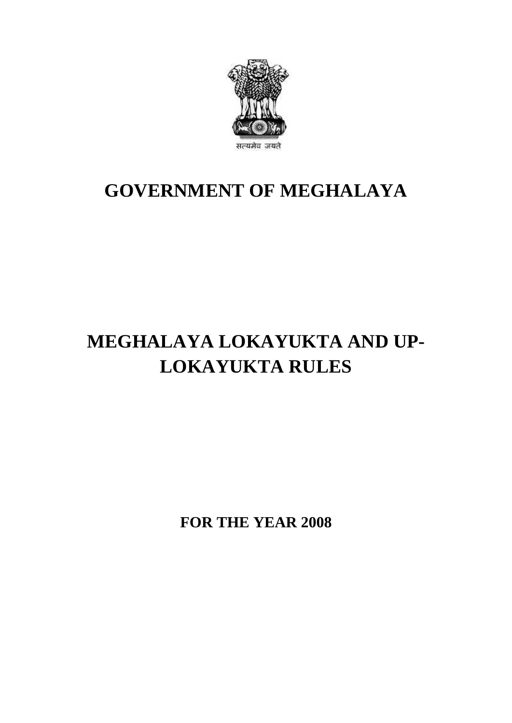

## **GOVERNMENT OF MEGHALAYA**

# **MEGHALAYA LOKAYUKTA AND UP-LOKAYUKTA RULES**

**FOR THE YEAR 2008**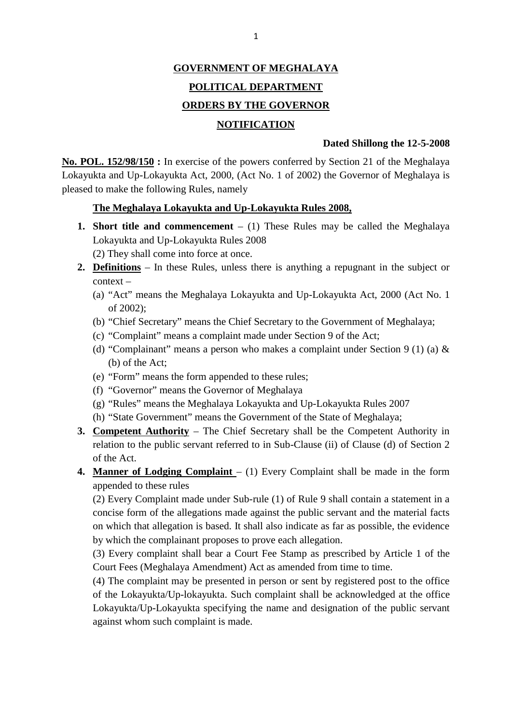## **GOVERNMENT OF MEGHALAYA POLITICAL DEPARTMENT ORDERS BY THE GOVERNOR**

### **NOTIFICATION**

### **Dated Shillong the 12-5-2008**

**NOTIFICATION**<br>**NOTIFICATION**<br>**No. POL. 152/98/150** : In exercise of the powers conferred by Section 21 of the Meghalaya<br>Lokayukta and Up-Lokayukta Act, 2000, (Act No. 1 of 2002) the Governor of Meghalaya is **NOTIFICATION**<br>
Dated Shillong the 12-5-2008<br>
No. POL. 152/98/150: In exercise of the powers conferred by Section 21 of the Meghalaya<br>
Lokayukta and Up-Lokayukta Act, 2000, (Act No. 1 of 2002) the Governor of Meghalaya is<br> pleased to make the following Rules, namely Lokayukta and Up-Lokayukta Act, 2000, (Act No. 1 of 2002) the Governor of Meghalaya is<br>pleased to make the following Rules, namely<br>**1. Short title and commencement** – (1) These Rules may be called the Meghalaya<br>Lokayukta a

### **The Meghalaya Lokayukta and Up-Lokayukta Rules 2008,**

Rules and Up-Lokayukia Act, 2000, (Act 10. 1 01 2000)<br>to make the following Rules, namely<br>**The Meghalaya Lokayukta and Up-Lokayukta I**<br>**Short title and commencement** – (1) These Ru<br>Lokayukta and Up-Lokayukta Rules 2008<br>(2) **2. Short title and commencement** – (1) These Rules may be called the Meghalaya

(2) They shall come into force at once.

- context **2. Definitions** – In these Rules, unless there is anything a repugnant in the subject or context –  $\frac{1}{2}$  (a) "Act" means the Meghalaya Lokayukta and Up-Lokayukta Act, 2000 (Act No. 1)
	- of 2002);
	- (b) "Chief Secretary" means the Chief Secretary to the Government of Meghalaya;
	- (c) "Complaint" means a complaint made under Section 9 of the Act;
	- (d) "Complainant" means a person who makes a complaint under Section 9 (1) (a) &<br>
	(b) of the Act;<br>
	(e) "Form" means the form appended to these rules;<br>
	(f) "Governor" means the Governor of Meghalaya<br>
	(g) "Rules" means the M (b) of the Act;
	- (e) "Form" means the form appended to these rules;
	- (f) "Governor" means the Governor of Meghalaya
	-
	- (h) "State Government" means the Government of the State of Meghalaya;
- (g) "Rules" means the Meghalaya Lokayukta and Up-Lokayukta Rules 2007<br> **3. Competent Authority** The Chief Secretary shall be the Competent Authority in relation to the public servant referred to in Sub-Clause (ii) of Clause (d) of Section 2 of the Act.<br>4. **Manner of Lodging Complaint**  $- (1)$  Every Complaint shall be made in the form of the Act. **4. Manner of Lodging Complaint** – (1) Every Complaint shall be made in the form appended to these rules
- appended to these rules

relation to the public servant referred to in Sub-Clause (ii) of Clause (d) of Section 2<br>of the Act.<br>**Manner of Lodging Complaint** – (1) Every Complaint shall be made in the form<br>appended to these rules<br>(2) Every Complaint concise form of the allegations made against the public servant and the material facts on which that allegation is based. It shall also indicate as far as possible, the evidence by which the complainant proposes to prove each allegation. (2) Every Complaint made under Sub-rule (1) of Rule 9 shall contain a statement in a concise form of the allegations made against the public servant and the material facts on which that allegation is based. It shall also

Court Fees (Meghalaya Amendment) Act as amended from time to time.

(4) The complaint may be presented in person or sent by registered post to the office by which the complainant proposes to prove each allegation.<br>
(3) Every complaint shall bear a Court Fee Stamp as prescribed by Article 1 of the<br>
Court Fees (Meghalaya Amendment) Act as amended from time to time.<br>
(4) The c (3) Every complaint shall bear a Court Fee Stamp as prescribed by Article 1 of the Court Fees (Meghalaya Amendment) Act as amended from time to time.<br>(4) The complaint may be presented in person or sent by registered post against whom such complaint is made.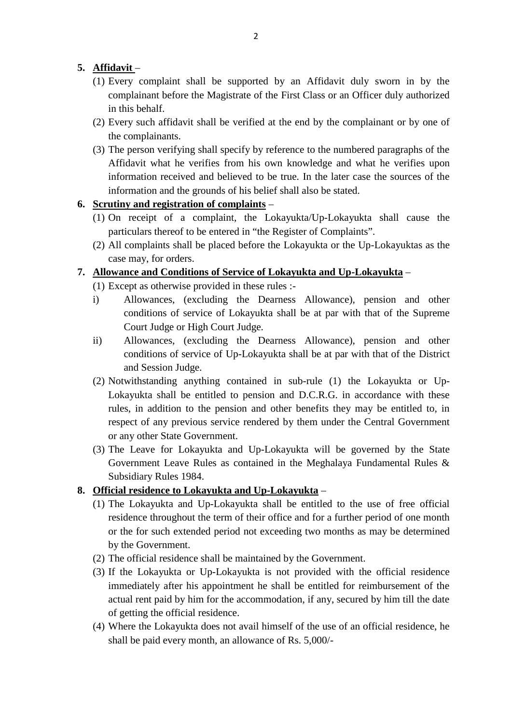- **5.** <u>**Affidavit**</u> **(1)** Every complain 2<br>
Affidavit –<br>
(1) Every complaint shall be supported by an Affidavit duly sworn in by the<br>
complainant before the Magistrate of the First Class or an Officer duly authorized 5. **Affidavit** –  $(1)$  Every complaint shall be supported by an Affidavit duly sworn in by the complainant before the Magistrate of the First Class or an Officer duly authorized in this behalf. **Affidavit** – (1) Every complaint shall be supported by an Affidavit duly sworn in by the complainant before the Magistrate of the First Class or an Officer duly authorized in this behalf.<br>(2) Every such affidavit shall be
	- the complainants.
- (3) The person verifying shall specify by reference to the numbered paragraphs of the Affidavit shall specify by reference to the numbered paragraphs of the Affidavit what he verifies from his own knowledge and what he ver In this behalf.<br>
Every such affidavit shall be verified at the end by the complainant or by one of<br>
the complainants.<br>
The person verifying shall specify by reference to the numbered paragraphs of the<br>
Affidavit what he ve information received and believed to be true. In the later case the sources of the information and the grounds of his belief shall also be stated. (3) The person verifying shall specify by reference to the numbered paragraphs of the Affidavit what he verifies from his own knowledge and what he verifies upon information received and believed to be true. In the later c

- (1) On receipt of a complaint, the Lokayukta/Up-Lokayukta shall cause the particulars thereof to be entered in "the Register of Complaints".
- information and the grounds of his belief shall also be stated.<br> **Scrutiny and registration of complaints** –<br>
(1) On receipt of a complaint, the Lokayukta/Up-Lokayukta shall cause the<br>
particulars thereof to be entered in case may, for orders. (1) On receipt of a complaint, the Lokayukta/Up-Lokayukta shall cause the particulars thereof to be entered in "the Register of Complaints".<br>
(2) All complaints shall be placed before the Lokayukta or the Up-Lokayuktas as particulars thereof to be entered in "the Register of<br>
(2) All complaints shall be placed before the Lokayuk<br>
case may, for orders.<br> **Allowance and Conditions of Service of Lokayukta**<br>
(1) Except as otherwise provided in t

- 
- (2) All complaints shall be placed before the Lokayukta or the Up-Lokayuktas as the<br>case may, for orders.<br>**Allowance and Conditions of Service of Lokayukta and Up-Lokayukta** –<br>(1) Except as otherwise provided in these rule **Conditions of Service of Lokayukta and Up-Lokayukta** – (1) Except as otherwise provided in these rules :-<br>
i) Allowances, (excluding the Dearness Allowance), pension and other conditions of service of Lokayukta shall be a Court Judge or High Court Judge. (1) Except as otherwise provided in these rules :-<br>
i) Allowances, (excluding the Dearness Allowance), pension and other<br>
conditions of service of Lokayukta shall be at par with that of the Supreme<br>
Court Judge or High Cou
	- conditions of service of Up-Lokayukta shall be at par with that of the District and Session Judge. (2) ii) Allowances, (excluding the Dearness Allowance), pension and other conditions of service of Up-Lokayukta shall be at par with that of the District and Session Judge.<br>
	(2) Notwithstanding anything contained in sub-ru
	- Allowances, (excluding the Dearness Allowance), pension and other conditions of service of Up-Lokayukta shall be at par with that of the District and Session Judge.<br>Notwithstanding anything contained in sub-rule (1) the Lo respect of any previous service rendered by them under the Central Government or any other State Government. Lokayukta shall be entitled to pension and D.C.R.G. in accordance with these<br>rules, in addition to the pension and other benefits they may be entitled to, in<br>respect of any previous service rendered by them under the Cent rules, in addition to the pension and other benefits they may be entitled to, in respect of any previous service rendered by them under the Central Government or any other State Government.<br>The Leave for Lokayukta and Up-L
- Subsidiary Rules 1984. or any other State Government.<br>
(3) The Leave for Lokayukta and Up-Lokayukta will be government Leave Rules as contained in the Meghalaya Fu<br>
Subsidiary Rules 1984.<br> **8. Official residence to Lokayukta and Up-Lokayukta** –<br> (3) The Leave for Lokayukta and Up-Lokayukta will be governed by the State<br>Government Leave Rules as contained in the Meghalaya Fundamental Rules &<br>Subsidiary Rules 1984.<br>**Official residence to Lokayukta and Up-Lokayukta**

- residence throughout the term of their office and for a further period of one month or the for such extended period not exceeding two months as may be determined by the Government. **8. Official residence to Lokayukta and Up-Lokayukta** – (1) The Lokayukta and Up-Lokayukta shall be entitled to the use of free official residence throughout the term of their office and for a further period of one mont The Internal of the Up-Lokayukta or Up-Lokayukta is not provided for reimbursement of the Up-Lokayukta or Up-Lokayukta is not provided with the official residence immediately after his appointment he shall be entitled for
	-
	- immediately after his appointment he shall be entitled for reimbursement of the actual rent paid by him for the accommodation, if any, secured by him till the date of getting the official residence. (3) If the Lokayukta or Up-Lokayukta is not provided with the official residence immediately after his appointment he shall be entitled for reimbursement of the actual rent paid by him for the accommodation, if any, secur
	- shall be paid every month, an allowance of Rs. 5,000/-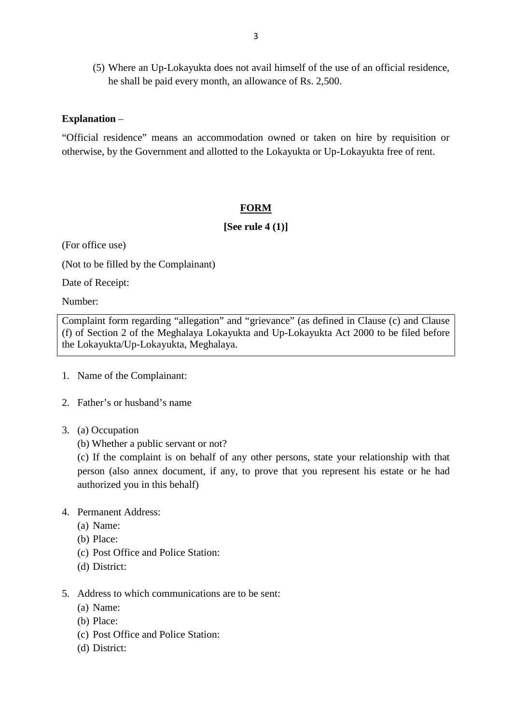(5) Where an Up-Lokayukta does not avail himself of the use of an official residence, he shall be paid every month, an allowance of Rs. 2,500.

### **Explanation** –

"Official residence" means an accommodation owned or taken on hire by requisition or otherwise, by the Government and allotted to the Lokayukta or Up-Lokayukta free of rent.

### **FORM**

**[See rule 4 (1)]**

(For office use)

(Not to be filled by the Complainant)

Date of Receipt:

Number:

Complaint form regarding "allegation" and "grievance" (as defined in Clause (c) and Clause (Figure 1)<br>
(Figure 1)<br>
(Figure 1)<br>
(f) of Section 2 of the Meghalaya Lokayukta and Up-Lokayukta Act 2000 to be filed before<br>
the Lokayukta/Up-Lokayukta, Meghalaya. Date of Receipt:<br>Number:<br>Complaint form regarding "allegation" and "gi<br>(f) of Section 2 of the Meghalaya Lokayukta a<br>the Lokayukta/Up-Lokayukta, Meghalaya. 1. Complaint form regarding "allegatical"<br>1. Name Cokayukta/Up-Lokayukta, Meg<br>1. Name of the Complainant:

- 
- 2. Father's or husband's name
- 
- 1. Name of the Complainant:<br>2. Father's or husband's name<br>3. (a) Occupation<br>(b) Whether a public servant or not?

(c) If the complaint is on behalf of any other persons, state your relationship with that Father's or husband's name<br>
(a) Occupation<br>
(b) Whether a public servant or not?<br>
(c) If the complaint is on behalf of any other persons, state your relationship with that<br>
person (also annex document, if any, to prove tha Authorized you in this behalf)<br>
Permanent Address:<br>
(a) Name:<br>
(b) Place:<br>
(c) Post Office and Police Station: (c) If the complaint is o<br>person (also annex docu<br>authorized you in this bel<br>4. Permanent Address:<br>(a) Name: person (also ar<br>authorized you<br>Permanent Add<br>(a) Name:<br>(b) Place:

- 4. Permanent Address:<br>
(a) Name:<br>
(b) Place:<br>
(c) Post Office and I<br>
(d) District:
	-
	-
- Permanent Address:<br>
(a) Name:<br>
(b) Place:<br>
(c) Post Office and Police Station:<br>
(d) District:
	-
- (b) Place:<br>
(c) Post Office and Police Station:<br>
(d) District:<br>
5. Address to which communications are to be sent:<br>
(a) Name: (c) Post Office and Police Station:<br>
(d) District:<br>
Address to which communications<br>
(a) Name:<br>
(b) Place:<br>
(c) Post Office and Police Station: Address to which communications are t<br>
(a) Name:<br>
(b) Place:<br>
(c) Post Office and Police Station:<br>
(d) District:
	-
	-
	- (d) District:<br>Address to whi<br>(a) Name:<br>(b) Place:<br>(c) Post Office Address to v<br>(a) Name:<br>(b) Place:<br>(c) Post Off<br>(d) District:
	-